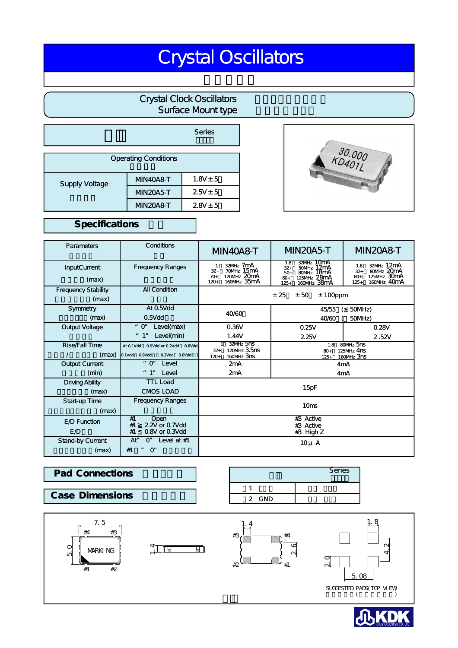# Crystal Oscillators

# Crystal Clock Oscillators Surface Mount type

|                             |                 | Series       |  |  |  |  |  |
|-----------------------------|-----------------|--------------|--|--|--|--|--|
| <b>Operating Conditions</b> |                 |              |  |  |  |  |  |
| <b>Supply Voltage</b>       | <b>MN40A8-T</b> | $1.8V \pm 5$ |  |  |  |  |  |
|                             | <b>MN20A5-T</b> | $2.5V \pm 5$ |  |  |  |  |  |
|                             | <b>MN20A8-T</b> | $2.8V \pm 5$ |  |  |  |  |  |



## Specifications

| <b>Parameters</b>                   | Conditions                                                             | <b>MIN40A8-T</b>                                                                  | <b>MN20A5-T</b>                                                                                    | <b>MN20A8-T</b>                                                                            |  |  |
|-------------------------------------|------------------------------------------------------------------------|-----------------------------------------------------------------------------------|----------------------------------------------------------------------------------------------------|--------------------------------------------------------------------------------------------|--|--|
| <b>InputCurrent</b><br>(max)        | <b>Frequency Ranges</b>                                                | 32MHz 7mA<br>70MHz 15mA<br>$32+$<br>120MHz 20mA<br>$70+$<br>160MHz 35mA<br>$120+$ | 32MHz TUMA<br>1.8<br>50MHz 12mA<br>$32+$<br>$50+$<br>125MHz 28mA<br>$80+$<br>160MHz 38mA<br>$125+$ | 32MHz 12mA<br>1.8<br>80MHz 20mA<br>$32+$<br>125MHz 30mA<br>$80 +$<br>160MHz 40mA<br>$125+$ |  |  |
| <b>Frequency Stability</b><br>(max) | <b>All Condition</b>                                                   | ± 25<br>± 50<br>$± 100$ ppm                                                       |                                                                                                    |                                                                                            |  |  |
| Symmetry                            | At 0.5Vdd                                                              | 40/60                                                                             | 50MHz)<br>45/55                                                                                    |                                                                                            |  |  |
| (max)                               | $0.5V$ dd                                                              |                                                                                   | 40/60                                                                                              | 50MHz)                                                                                     |  |  |
| Output Voltage                      | " O"<br>Level(max)                                                     | 0.36V                                                                             | 0.25V<br>0.28V                                                                                     |                                                                                            |  |  |
|                                     | " 1"<br>Level(min)                                                     | 1.44V                                                                             | 2.25V                                                                                              | 2.52V                                                                                      |  |  |
| Rise/Fall Time<br>(max)             | 0.9Vdd or 0.2Vdd 0.8Vdd<br>At 0.1Vdd<br>0.1Vdd 0.9Vdd<br>0.2Vdd 0.8Vdd | 32MHz 5NS<br>120MHz 3.5ns<br>$32+$<br>160MHz 3ns<br>$120+$                        | 80MHz 5ns<br>1.8<br>125MHz 4nS<br>$80+$<br>160MHz 3nS<br>$125+$                                    |                                                                                            |  |  |
| Output Current                      | $"$ O"<br>Level                                                        | 2mA                                                                               | 4mA                                                                                                |                                                                                            |  |  |
| (min)                               | " 1"<br>Level                                                          | 2mA                                                                               | 4 <sub>m</sub> A                                                                                   |                                                                                            |  |  |
| <b>Driving Ability</b><br>(max)     | <b>TTL Load</b><br><b>CMOS LOAD</b>                                    | 15pF                                                                              |                                                                                                    |                                                                                            |  |  |
| Start-up Time<br>(max)              | <b>Frequency Ranges</b>                                                | 10ms                                                                              |                                                                                                    |                                                                                            |  |  |
| E <sub>/D</sub> Function<br>E /D    | Open<br>#1<br>#1<br>2.2V or 0.7Vdd<br>0.8V or 0.3Vdd<br>#1             | $#3$ Active<br>#3 Active<br>#3 High Z                                             |                                                                                                    |                                                                                            |  |  |
| Stand-by Current<br>(max)           | Level at $#1$<br>Ať<br>$\alpha$<br>$O^{\prime}$<br>#1<br>IJ            | $10\mu$ A                                                                         |                                                                                                    |                                                                                            |  |  |

#### $\overline{1}$ 2 GND **Pad Connections Case Dimensions**





Series シリース